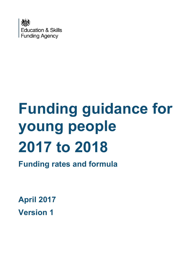

# **Funding guidance for young people 2017 to 2018**

**Funding rates and formula**

**April 2017 Version 1**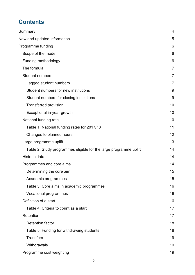# **Contents**

| Summary                                                           | $\overline{4}$ |
|-------------------------------------------------------------------|----------------|
| New and updated information                                       | 5              |
| Programme funding                                                 | 6              |
| Scope of the model                                                | 6              |
| Funding methodology                                               | 6              |
| The formula                                                       | $\overline{7}$ |
| <b>Student numbers</b>                                            | $\overline{7}$ |
| Lagged student numbers                                            | $\overline{7}$ |
| Student numbers for new institutions                              | 9              |
| Student numbers for closing institutions                          | 9              |
| <b>Transferred provision</b>                                      | 10             |
| Exceptional in-year growth                                        | 10             |
| National funding rate                                             | 10             |
| Table 1: National funding rates for 2017/18                       | 11             |
| Changes to planned hours                                          | 12             |
| Large programme uplift                                            | 13             |
| Table 2: Study programmes eligible for the large programme uplift | 14             |
| Historic data                                                     | 14             |
| Programmes and core aims                                          | 14             |
| Determining the core aim                                          | 15             |
| Academic programmes                                               | 15             |
| Table 3: Core aims in academic programmes                         | 16             |
| Vocational programmes                                             | 16             |
| Definition of a start                                             | 16             |
| Table 4: Criteria to count as a start                             | 17             |
| Retention                                                         | 17             |
| <b>Retention factor</b>                                           | 18             |
| Table 5: Funding for withdrawing students                         | 18             |
| <b>Transfers</b>                                                  | 19             |
| Withdrawals                                                       | 19             |
| Programme cost weighting                                          | 19             |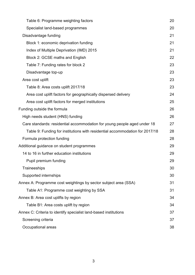| Table 6: Programme weighting factors                                         | 20 |
|------------------------------------------------------------------------------|----|
| Specialist land-based programmes                                             | 20 |
| Disadvantage funding                                                         | 21 |
| Block 1: economic deprivation funding                                        | 21 |
| Index of Multiple Deprivation (IMD) 2015                                     | 21 |
| Block 2: GCSE maths and English                                              | 22 |
| Table 7: Funding rates for block 2                                           | 23 |
| Disadvantage top-up                                                          | 23 |
| Area cost uplift                                                             | 23 |
| Table 8: Area costs uplift 2017/18                                           | 23 |
| Area cost uplift factors for geographically dispersed delivery               | 24 |
| Area cost uplift factors for merged institutions                             | 25 |
| Funding outside the formula                                                  | 26 |
| High needs student (HNS) funding                                             | 26 |
| Care standards: residential accommodation for young people aged under 18     | 27 |
| Table 9: Funding for institutions with residential accommodation for 2017/18 | 28 |
| Formula protection funding                                                   | 28 |
| Additional guidance on student programmes                                    | 29 |
| 14 to 16 in further education institutions                                   | 29 |
| Pupil premium funding                                                        | 29 |
| Traineeships                                                                 | 30 |
| Supported internships                                                        | 30 |
| Annex A: Programme cost weightings by sector subject area (SSA)              | 31 |
| Table A1: Programme cost weighting by SSA                                    | 31 |
| Annex B: Area cost uplifts by region                                         | 34 |
| Table B1: Area costs uplift by region                                        | 34 |
| Annex C: Criteria to identify specialist land-based institutions             | 37 |
| Screening criteria                                                           | 37 |
| Occupational areas                                                           | 38 |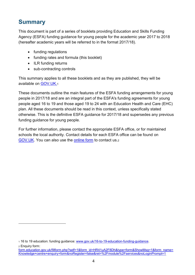# <span id="page-3-0"></span>**Summary**

-

This document is part of a series of booklets providing Education and Skills Funding Agency (ESFA) funding guidance for young people for the academic year 2017 to 2018 (hereafter academic years will be referred to in the format 2017/18).

- funding regulations
- funding rates and formula (this booklet)
- ILR funding returns
- sub-contracting controls

This summary applies to all these booklets and as they are published, they will be available on [GOV.UK.](https://www.gov.uk/16-to-19-education-funding-guidance)<sup>1</sup>

These documents outline the main features of the ESFA funding arrangements for young people in 2017/18 and are an integral part of the ESFA's funding agreements for young people aged 16 to 19 and those aged 19 to 24 with an Education Health and Care (EHC) plan. All these documents should be read in this context, unless specifically stated otherwise. This is the definitive ESFA guidance for 2017/18 and supersedes any previous funding guidance for young people.

For further information, please contact the appropriate ESFA office, or for maintained schools the local authority. Contact details for each ESFA office can be found on [GOV.UK.](https://www.gov.uk/government/organisations/department-for-education) You can also use the [online form](https://form.education.gov.uk/fillform.php?self=1&form_id=HR41uA2F8Dh&type=form&ShowMsg=1&form_name=Knowledge+centre+enquiry+form&noRegister=false&ret=%2Fmodule%2Fservices&noLoginPrompt=1) to contact us.<sup>2</sup>

<sup>1</sup> 16 to 19 education: funding guidance: [www.gov.uk/16-to-19-education-funding-guidance.](https://www.gov.uk/16-to-19-education-funding-guidance)

<sup>2</sup> Enquiry form: [form.education.gov.uk/fillform.php?self=1&form\\_id=HR41uA2F8Dh&type=form&ShowMsg=1&form\\_name=](https://form.education.gov.uk/fillform.php?self=1&form_id=HR41uA2F8Dh&type=form&ShowMsg=1&form_name=Knowledge+centre+enquiry+form&noRegister=false&ret=%2Fmodule%2Fservices&noLoginPrompt=1) [Knowledge+centre+enquiry+form&noRegister=false&ret=%2Fmodule%2Fservices&noLoginPrompt=1](https://form.education.gov.uk/fillform.php?self=1&form_id=HR41uA2F8Dh&type=form&ShowMsg=1&form_name=Knowledge+centre+enquiry+form&noRegister=false&ret=%2Fmodule%2Fservices&noLoginPrompt=1)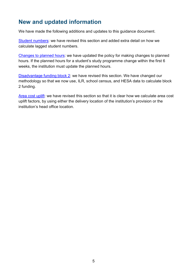# <span id="page-4-0"></span>**New and updated information**

We have made the following additions and updates to this guidance document.

[Student numbers:](#page-6-2) we have revised this section and added extra detail on how we calculate lagged student numbers.

[Changes to planned hours:](#page-11-0) we have updated the policy for making changes to planned hours. If the planned hours for a student's study programme change within the first 6 weeks, the institution must update the planned hours.

[Disadvantage funding block 2:](#page-21-0) we have revised this section. We have changed our methodology so that we now use, ILR, school census, and HESA data to calculate block 2 funding.

[Area cost uplift:](#page-22-2) we have revised this section so that it is clear how we calculate area cost uplift factors, by using either the delivery location of the institution's provision or the institution's head office location.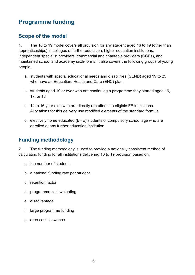# <span id="page-5-0"></span>**Programme funding**

## <span id="page-5-1"></span>**Scope of the model**

1. The 16 to 19 model covers all provision for any student aged 16 to 19 (other than apprenticeships) in colleges of further education, higher education institutions, independent specialist providers, commercial and charitable providers (CCPs), and maintained school and academy sixth-forms. It also covers the following groups of young people.

- a. students with special educational needs and disabilities (SEND) aged 19 to 25 who have an Education, Health and Care (EHC) plan
- b. students aged 19 or over who are continuing a programme they started aged 16, 17, or 18
- c. 14 to 16 year olds who are directly recruited into eligible FE institutions. Allocations for this delivery use modified elements of the standard formula
- d. electively home educated (EHE) students of compulsory school age who are enrolled at any further education institution

## <span id="page-5-2"></span>**Funding methodology**

2. The funding methodology is used to provide a nationally consistent method of calculating funding for all institutions delivering 16 to 19 provision based on:

- a. the number of students
- b. a national funding rate per student
- c. retention factor
- d. programme cost weighting
- e. disadvantage
- f. large programme funding
- g. area cost allowance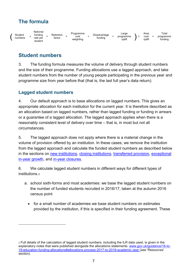# <span id="page-6-0"></span>**The formula**

| Student<br>numbers |  | National<br>fundina<br>rate per<br>student | . . | Retention<br>factor |  | Programme<br>cost<br>weighting |  | Disadvantage<br><br>funding |  | angle<br>programme<br>uplift |  |  | Area<br>cost<br>uplift | $=$ | $\tau$ otal<br>programme<br>funding |
|--------------------|--|--------------------------------------------|-----|---------------------|--|--------------------------------|--|-----------------------------|--|------------------------------|--|--|------------------------|-----|-------------------------------------|
|--------------------|--|--------------------------------------------|-----|---------------------|--|--------------------------------|--|-----------------------------|--|------------------------------|--|--|------------------------|-----|-------------------------------------|

## <span id="page-6-1"></span>**Student numbers**

3. The funding formula measures the volume of delivery through student numbers and the size of their programme. Funding allocations use a lagged approach, and take student numbers from the number of young people participating in the previous year and programme size from year before that (that is, the last full year's data return).

#### <span id="page-6-2"></span>**Lagged student numbers**

-

4. Our default approach is to base allocations on lagged numbers. This gives an appropriate allocation for each institution for the current year. It is therefore described as an allocation based on lagged numbers, rather than lagged funding or funding in arrears or a guarantee of a lagged allocation. The lagged approach applies when there is a reasonably consistent level of delivery over time – that is, in most but not all circumstances.

5. The lagged approach does not apply where there is a material change in the volume of provision offered by an institution. In these cases, we remove the institution from the lagged approach and calculate the funded student numbers as described below in the sections on [new institutions,](#page-8-0) [closing institutions,](#page-8-1) [transferred provision,](#page-9-0) [exceptional](#page-9-1)  [in-year growth,](#page-9-1) and [in-year closures.](#page-9-2)

6. We calculate lagged student numbers in different ways for different types of institutions.<sup>3</sup>

- a. school sixth-forms and most academies: we base the lagged student numbers on the number of funded students recruited in 2016/17, taken at the autumn 2016 census point
	- for a small number of academies we base student numbers on estimates provided by the institution, if this is specified in their funding agreement. These

<sup>3</sup> Full details of the calculation of lagged student numbers, including the ILR data used, is given in the explanatory notes that were published alongside the allocations statements: [www.gov.uk/guidance/16-to-](https://www.gov.uk/guidance/16-to-19-education-funding-allocations#allocations-process-2017-to-2018-academic-year)[19-education-funding-allocations#allocations-process-2017-to-2018-academic-year](https://www.gov.uk/guidance/16-to-19-education-funding-allocations#allocations-process-2017-to-2018-academic-year) (see 'Resources' section).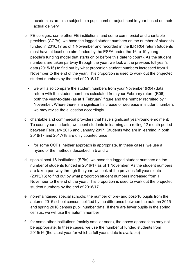academies are also subject to a pupil number adjustment in-year based on their actual delivery

- b. FE colleges, some other FE institutions, and some commercial and charitable providers (CCPs): we base the lagged student numbers on the number of students funded in 2016/17 as of 1 November and recorded in the ILR R04 return (students must have at least one aim funded by the ESFA under the 16 to 19 young people's funding model that starts on or before this date to count). As the student numbers are taken partway through the year, we look at the previous full year's data (2015/16) to find out by what proportion student numbers increased from 1 November to the end of the year. This proportion is used to work out the projected student numbers by the end of 2016/17
	- we will also compare the student numbers from your November (R04) data return with the student numbers calculated from your February return (R06), both the year-to-date (as at 1 February) figure and the number recruited by 1 November. Where there is a significant increase or decrease in student numbers we may revise the allocation accordingly
- c. charitable and commercial providers that have significant year-round enrolment: To count your students, we count students in learning at a rolling 12 month period between February 2016 and January 2017. Students who are in learning in both 2016/17 and 2017/18 are only counted once
	- for some CCPs, neither approach is appropriate. In these cases, we use a hybrid of the methods described in b and c
- d. special post-16 institutions (SPIs): we base the lagged student numbers on the number of students funded in 2016/17 as of 1 November. As the student numbers are taken part way through the year, we look at the previous full year's data (2015/16) to find out by what proportion student numbers increased from 1 November to the end of the year. This proportion is used to work out the projected student numbers by the end of 2016/17
- e. non-maintained special schools: the number of pre- and post-16 pupils from the autumn 2016 school census, uplifted by the difference between the autumn 2015 and spring 2016 census pupil number data. If there are fewer pupils in the spring census, we will use the autumn number
- f. for some other institutions (mainly smaller ones), the above approaches may not be appropriate. In these cases, we use the number of funded students from 2015/16 (the latest year for which a full year's data is available)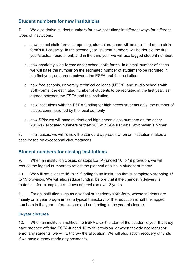#### <span id="page-8-0"></span>**Student numbers for new institutions**

7. We also derive student numbers for new institutions in different ways for different types of institutions.

- a. new school sixth-forms: at opening, student numbers will be one-third of the sixthform's full capacity. In the second year, student numbers will be double the first year's actual recruitment, and in the third year we will use lagged student numbers
- b. new academy sixth-forms: as for school sixth-forms. In a small number of cases we will base the number on the estimated number of students to be recruited in the first year, as agreed between the ESFA and the institution
- c. new free schools, university technical colleges (UTCs), and studio schools with sixth-forms: the estimated number of students to be recruited in the first year, as agreed between the ESFA and the institution
- d. new institutions with the ESFA funding for high needs students only: the number of places commissioned by the local authority
- e. new SPIs: we will base student and high needs place numbers on the either 2016/17 allocated numbers or their 2016/17 R04 ILR data, whichever is higher

8. In all cases, we will review the standard approach when an institution makes a case based on exceptional circumstances.

#### <span id="page-8-1"></span>**Student numbers for closing institutions**

9. When an institution closes, or stops ESFA-funded 16 to 19 provision, we will reduce the lagged numbers to reflect the planned decline in student numbers.

10. We will not allocate 16 to 19 funding to an institution that is completely stopping 16 to 19 provision. We will also reduce funding before that if the change in delivery is material – for example, a rundown of provision over 2 years.

11. For an institution such as a school or academy sixth-form, whose students are mainly on 2 year programmes, a typical trajectory for the reduction is half the lagged numbers in the year before closure and no funding in the year of closure.

#### **In-year closures**

12. When an institution notifies the ESFA after the start of the academic year that they have stopped offering ESFA-funded 16 to 19 provision, or when they do not recruit or enrol any students, we will withdraw the allocation. We will also action recovery of funds if we have already made any payments.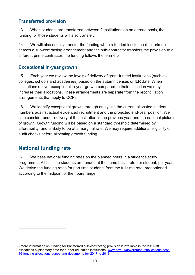#### <span id="page-9-0"></span>**Transferred provision**

13. When students are transferred between 2 institutions on an agreed basis, the funding for those students will also transfer.

14. We will also usually transfer the funding when a funded institution (the 'prime') ceases a sub-contracting arrangement and the sub-contractor transfers the provision to a different prime contractor: the funding follows the learner.<sup>4</sup>

#### <span id="page-9-1"></span>**Exceptional in-year growth**

15. Each year we review the levels of delivery of grant-funded institutions (such as colleges, schools and academies) based on the autumn census or ILR data. When institutions deliver exceptional in-year growth compared to their allocation we may increase their allocations. These arrangements are separate from the reconciliation arrangements that apply to CCPs.

16. We identify exceptional growth through analysing the current allocated student numbers against actual evidenced recruitment and the projected end-year position. We also consider under-delivery at the institution in the previous year and the national picture of growth. Growth funding will be based on a standard threshold determined by affordability, and is likely to be at a marginal rate. We may require additional eligibility or audit checks before allocating growth funding.

## <span id="page-9-2"></span>**National funding rate**

-

17. We base national funding rates on the planned hours in a student's study programme. All full time students are funded at the same basic rate per student, per year. We derive the funding rates for part time students from the full time rate, proportioned according to the midpoint of the hours range.

<sup>4</sup> More information on funding for transferred sub-contracting provision is available in the 2017/18 allocations explanatory note for further education institutions: [www.gov.uk/government/publications/post-](file://///Shenetapp01/efa2%20central%20funding%20restricted/Funding%20Implementation%20and%20Allocations/Funding%20guidance/201718/www.gov.uk/government/publications/post-16-funding-allocations-supporting-documents-for-2017-to-2018)[16-funding-allocations-supporting-documents-for-2017-to-2018.](file://///Shenetapp01/efa2%20central%20funding%20restricted/Funding%20Implementation%20and%20Allocations/Funding%20guidance/201718/www.gov.uk/government/publications/post-16-funding-allocations-supporting-documents-for-2017-to-2018)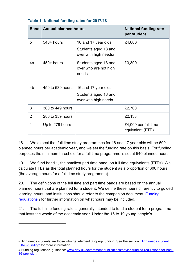| <b>Band</b>    | <b>Annual planned hours</b> |                                                                                  | <b>National funding rate</b><br>per student |
|----------------|-----------------------------|----------------------------------------------------------------------------------|---------------------------------------------|
| 5              | $540+$ hours                | 16 and 17 year olds<br>Students aged 18 and<br>over with high needs <sub>5</sub> | £4,000                                      |
| 4a             | $450+$ hours                | Students aged 18 and<br>over who are not high<br>needs                           | £3,300                                      |
| 4 <sub>b</sub> | 450 to 539 hours            | 16 and 17 year olds<br>Students aged 18 and<br>over with high needs              |                                             |
| 3              | 360 to 449 hours            |                                                                                  | £2,700                                      |
| 2              | 280 to 359 hours            |                                                                                  | £2,133                                      |
| 1              | Up to 279 hours             |                                                                                  | £4,000 per full time<br>equivalent (FTE)    |

#### <span id="page-10-0"></span>**Table 1: National funding rates for 2017/18**

18. We expect that full time study programmes for 16 and 17 year olds will be 600 planned hours per academic year, and we set the funding rate on this basis. For funding purposes the minimum threshold for a full time programme is set at 540 planned hours.

19. We fund band 1, the smallest part time band, on full time equivalents (FTEs). We calculate FTEs as the total planned hours for the student as a proportion of 600 hours (the average hours for a full time study programme).

20. The definitions of the full time and part time bands are based on the annual planned hours that are planned for a student. We define these hours differently to guided learning hours, and institutions should refer to the companion document ['Funding](https://www.gov.uk/government/publications/advice-funding-regulations-for-post-16-provision)  [regulations'](https://www.gov.uk/government/publications/advice-funding-regulations-for-post-16-provision)<sup>6</sup> for further information on what hours may be included.

21. The full time funding rate is generally intended to fund a student for a programme that lasts the whole of the academic year. Under the 16 to 19 young people's

<sup>5</sup> High needs students are those who get element 3 top-up funding. See the section ['High needs student](#page-25-1)  [\(HNS\) funding'](#page-25-1) for more information.

<sup>6 &#</sup>x27;Funding regulations' guidance: [www.gov.uk/government/publications/advice-funding-regulations-for-post-](https://www.gov.uk/government/publications/advice-funding-regulations-for-post-16-provision)[16-provision.](https://www.gov.uk/government/publications/advice-funding-regulations-for-post-16-provision)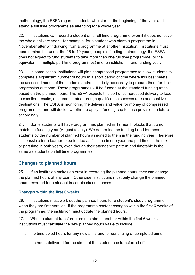methodology, the ESFA regards students who start at the beginning of the year and attend a full time programme as attending for a whole year.

22. Institutions can record a student on a full time programme even if it does not cover the whole delivery year – for example, for a student who starts a programme in November after withdrawing from a programme at another institution. Institutions must bear in mind that under the 16 to 19 young people's funding methodology, the ESFA does not expect to fund students to take more than one full time programme (or the equivalent in multiple part time programmes) in one institution in one funding year.

23. In some cases, institutions will plan compressed programmes to allow students to complete a significant number of hours in a short period of time where this best meets the assessed needs of the students and/or is strictly necessary to prepare them for their progression outcome. These programmes will be funded at the standard funding rates based on the planned hours. The ESFA expects this sort of compressed delivery to lead to excellent results, as demonstrated through qualification success rates and positive destinations. The ESFA is monitoring the delivery and value for money of compressed programmes, and will decide whether to apply a funding cap to such provision in future accordingly.

24. Some students will have programmes planned in 12 month blocks that do not match the funding year (August to July). We determine the funding band for these students by the number of planned hours assigned to them in the funding year. Therefore it is possible for a learner to be funded as full time in one year and part time in the next, or part time in both years, even though their attendance pattern and timetable is the same as students on full time programmes.

#### <span id="page-11-0"></span>**Changes to planned hours**

25. If an institution makes an error in recording the planned hours, they can change the planned hours at any point. Otherwise, institutions must only change the planned hours recorded for a student in certain circumstances.

#### **Changes within the first 6 weeks**

26. Institutions must work out the planned hours for a student's study programme when they are first enrolled. If the programme content changes within the first 6 weeks of the programme, the institution must update the planned hours.

27. When a student transfers from one aim to another within the first 6 weeks, institutions must calculate the new planned hours value to include:

- a. the timetabled hours for any new aims and for continuing or completed aims
- b. the hours delivered for the aim that the student has transferred off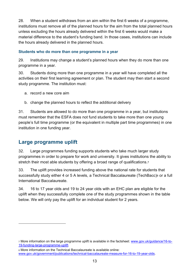28. When a student withdraws from an aim within the first 6 weeks of a programme, institutions must remove all of the planned hours for the aim from the total planned hours unless excluding the hours already delivered within the first 6 weeks would make a material difference to the student's funding band. In those cases, institutions can include the hours already delivered in the planned hours.

#### <span id="page-12-1"></span>**Students who do more than one programme in a year**

29. Institutions may change a student's planned hours when they do more than one programme in a year.

30. Students doing more than one programme in a year will have completed all the activities on their first learning agreement or plan. The student may then start a second study programme. The institution must:

- a. record a new core aim
- b. change the planned hours to reflect the additional delivery

31. Students are allowed to do more than one programme in a year, but institutions must remember that the ESFA does not fund students to take more than one young people's full time programme (or the equivalent in multiple part time programmes) in one institution in one funding year.

## <span id="page-12-0"></span>**Large programme uplift**

-

32. Large programmes funding supports students who take much larger study programmes in order to prepare for work and university. It gives institutions the ability to stretch their most able students by offering a broad range of qualifications.<sup>7</sup>

33. The uplift provides increased funding above the national rate for students that successfully study either 4 or 5 A levels, a Technical Baccalaureate (TechBacc)8 or a full International Baccalaureate.

34. 16 to 17 year olds and 19 to 24 year olds with an EHC plan are eligible for the uplift when they successfully complete one of the study programmes shown in the table below. We will only pay the uplift for an individual student for 2 years.

<sup>7</sup> More information on the large programme uplift is available in the factsheet: [www.gov.uk/guidance/16-to-](https://www.gov.uk/guidance/16-to-19-funding-large-programme-uplift)[19-funding-large-programme-uplift.](https://www.gov.uk/guidance/16-to-19-funding-large-programme-uplift)

<sup>8</sup> More information on the Technical Baccalaureate is available online: [www.gov.uk/government/publications/technical-baccalaureate-measure-for-16-to-19-year-olds.](https://www.gov.uk/government/publications/technical-baccalaureate-measure-for-16-to-19-year-olds)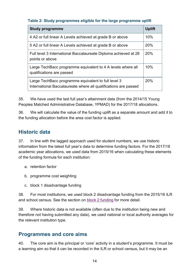#### <span id="page-13-0"></span>**Table 2: Study programmes eligible for the large programme uplift**

| <b>Study programme</b>                                                                                                 | <b>Uplift</b> |
|------------------------------------------------------------------------------------------------------------------------|---------------|
| 4 A2 or full linear A Levels achieved at grade B or above                                                              | 10%           |
| 5 A2 or full linear A Levels achieved at grade B or above                                                              | 20%           |
| Full level 3 International Baccalaureate Diploma achieved at 28<br>points or above                                     | 20%           |
| Large TechBacc programme equivalent to 4 A levels where all<br>qualifications are passed                               | 10%           |
| Large TechBacc programme equivalent to full level 3<br>International Baccalaureate where all qualifications are passed | 20%           |

35. We have used the last full year's attainment data (from the 2014/15 Young Peoples Matched Administrative Database, YPMAD) for the 2017/18 allocations.

36. We will calculate the value of the funding uplift as a separate amount and add it to the funding allocation before the area cost factor is applied.

## <span id="page-13-1"></span>**Historic data**

37. In line with the lagged approach used for student numbers, we use historic information from the latest full year's data to determine funding factors. For the 2017/18 academic year allocations, we used data from 2015/16 when calculating these elements of the funding formula for each institution:

- a. retention factor
- b. programme cost weighting
- c. block 1 disadvantage funding

38. For most institutions, we used block 2 disadvantage funding from the 2015/16 ILR and school census. See the section on [block 2 funding](#page-21-0) for more detail.

39. Where historic data is not available (often due to the institution being new and therefore not having submitted any data), we used national or local authority averages for the relevant institution type.

#### <span id="page-13-2"></span>**Programmes and core aims**

40. The core aim is the principal or 'core' activity in a student's programme. It must be a learning aim so that it can be recorded in the ILR or school census, but it may be an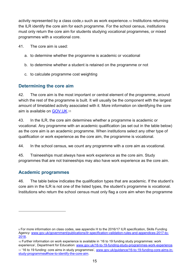activity represented by a class code,<sup>9</sup> such as work experience.<sup>10</sup> Institutions returning the ILR identify the core aim for each programme. For the school census, institutions must only return the core aim for students studying vocational programmes, or mixed programmes with a vocational core.

41. The core aim is used:

- a. to determine whether the programme is academic or vocational
- b. to determine whether a student is retained on the programme or not
- c. to calculate programme cost weighting

#### <span id="page-14-0"></span>**Determining the core aim**

42. The core aim is the most important or central element of the programme, around which the rest of the programme is built. It will usually be the component with the largest amount of timetabled activity associated with it. More information on identifying the core aim is available on **GOV.UK.11** 

43. In the ILR, the core aim determines whether a programme is academic or vocational. Any programme with an academic qualification (as set out in the table below) as the core aim is an academic programme. When institutions select any other type of qualification or work experience as the core aim, the programme is vocational.

44. In the school census, we count any programme with a core aim as vocational.

45. Traineeships must always have work experience as the core aim. Study programmes that are not traineeships may also have work experience as the core aim.

#### <span id="page-14-1"></span>**Academic programmes**

-

46. The table below indicates the qualification types that are academic. If the student's core aim in the ILR is not one of the listed types, the student's programme is vocational. Institutions who return the school census must only flag a core aim when the programme

<sup>9</sup> For more information on class codes, see appendix H to the 2016/17 ILR specification, Skills Funding Agency: [www.gov.uk/government/publications/ilr-specification-validation-rules-and-appendices-2017-to-](https://www.gov.uk/government/publications/ilr-specification-validation-rules-and-appendices-2017-to-2018)[2018.](https://www.gov.uk/government/publications/ilr-specification-validation-rules-and-appendices-2017-to-2018)

<sup>10</sup> Further information on work experience is available in '16 to 19 funding study programmes: work experience', Department for Education: [www.gov.uk/16-to-19-funding-study-programmes-work-experience.](https://www.gov.uk/16-to-19-funding-study-programmes-work-experience)

<sup>11</sup> '16 to 19 funding: core aims in study programmes', [www.gov.uk/guidance/16-to-19-funding-core-aims-in](https://www.gov.uk/guidance/16-to-19-funding-core-aims-in-study-programmes%23how-to-identify-the-core-aim)[study-programmes#how-to-identify-the-core-aim.](https://www.gov.uk/guidance/16-to-19-funding-core-aims-in-study-programmes%23how-to-identify-the-core-aim)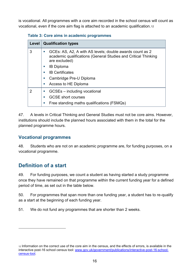is vocational. All programmes with a core aim recorded in the school census will count as vocational, even if the core aim flag is attached to an academic qualification.<sup>12</sup>

<span id="page-15-0"></span>

| Level | <b>Qualification types</b>                                                                                                                  |
|-------|---------------------------------------------------------------------------------------------------------------------------------------------|
| 3     | GCEs: AS, A2, A with AS levels; double awards count as 2<br>academic qualifications (General Studies and Critical Thinking<br>are excluded) |
|       | <b>IB Diploma</b>                                                                                                                           |
|       | <b>IB Certificates</b>                                                                                                                      |
|       | Cambridge Pre-U Diploma<br>m.                                                                                                               |
|       | Access to HE Diploma<br>m.                                                                                                                  |
| 2     | GCSEs – including vocational                                                                                                                |
|       | <b>GCSE</b> short courses                                                                                                                   |
|       | Free standing maths qualifications (FSMQs)                                                                                                  |

47. A levels in Critical Thinking and General Studies must not be core aims. However, institutions should include the planned hours associated with them in the total for the planned programme hours.

#### <span id="page-15-1"></span>**Vocational programmes**

48. Students who are not on an academic programme are, for funding purposes, on a vocational programme.

## <span id="page-15-2"></span>**Definition of a start**

-

49. For funding purposes, we count a student as having started a study programme once they have remained on that programme within the current funding year for a defined period of time, as set out in the table below.

50. For programmes that span more than one funding year, a student has to re-qualify as a start at the beginning of each funding year.

51. We do not fund any programmes that are shorter than 2 weeks.

<sup>12</sup> Information on the correct use of the core aim in the census, and the effects of errors, is available in the interactive post-16 school census tool: [www.gov.uk/government/publications/interactive-post-16-school](https://www.gov.uk/government/publications/interactive-post-16-school-census-tool)[census-tool.](https://www.gov.uk/government/publications/interactive-post-16-school-census-tool)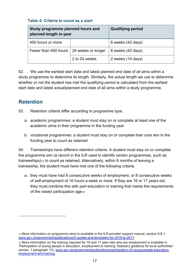#### <span id="page-16-0"></span>**Table 4: Criteria to count as a start**

| Study programme planned hours and<br>planned length in-year |                    | <b>Qualifying period</b> |
|-------------------------------------------------------------|--------------------|--------------------------|
| 450 hours or more                                           |                    | 6 weeks (42 days)        |
| Fewer than 450 hours                                        | 24 weeks or longer | 6 weeks (42 days)        |
|                                                             | 2 to 24 weeks      | 2 weeks (14 days)        |

52. We use the earliest start date and latest planned end date of all aims within a study programme to determine its length. Similarly, the actual length we use to determine whether or not the student has met the qualifying period is calculated from the earliest start date and latest actual/planned end date of all aims within a study programme.

# <span id="page-16-1"></span>**Retention**

-

- 53. Retention criteria differ according to programme type.
	- a. academic programmes: a student must stay on or complete at least one of the academic aims in their programme in the funding year
	- b. vocational programmes: a student must stay on or complete their core aim in the funding year to count as retained

54. Traineeships have different retention criteria. A student must stay on or complete the programme aim (a record in the ILR used to identify certain programmes, such as traineeships)<sup>13</sup> to count as retained. Alternatively, within 6 months of leaving a traineeship, the student must have met one of the following criteria.

a. they must have had 8 consecutive weeks of employment, or 8 consecutive weeks of self-employment of 16 hours a week or more. If they are 16 or 17 years old, they must combine this with part-education or training that meets the requirements of the raised participation age<sup>14</sup>

<sup>13</sup> More information on programme aims is available in the ILR provider support manual, section 9.8.1: [www.gov.uk/government/publications/ilr-guides-and-templates-for-2016-to-2017.](https://www.gov.uk/government/publications/ilr-guides-and-templates-for-2016-to-2017)

<sup>14</sup> More information on the training required for 16 and 17 year olds who are employment is available in 'Participation of young people in education, employment or training: Statutory guidance for local authorities' (annex, 1 paragraph 13): [www.gov.uk/government/publications/participation-of-young-people-education](https://www.gov.uk/government/publications/participation-of-young-people-education-employment-and-training)[employment-and-training.](https://www.gov.uk/government/publications/participation-of-young-people-education-employment-and-training)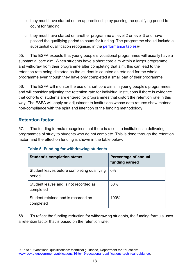- b. they must have started on an apprenticeship by passing the qualifying period to count for funding
- c. they must have started on another programme at level 2 or level 3 and have passed the qualifying period to count for funding. The programme should include a substantial qualification recognised in the [performance tables](http://www.gov.uk/government/publications/16-to-19-vocational-qualifications-technical-guidance)15

55. The ESFA expects that young people's vocational programmes will usually have a substantial core aim. When students have a short core aim within a larger programme and withdraw from their programme after completing that aim, this can lead to the retention rate being distorted as the student is counted as retained for the whole programme even though they have only completed a small part of their programme.

56. The ESFA will monitor the use of short core aims in young people's programmes, and will consider adjusting the retention rate for individual institutions if there is evidence that cohorts of students are entered for programmes that distort the retention rate in this way. The ESFA will apply an adjustment to institutions whose data returns show material non-compliance with the spirit and intention of the funding methodology.

#### <span id="page-17-0"></span>**Retention factor**

-

57. The funding formula recognises that there is a cost to institutions in delivering programmes of study to students who do not complete. This is done through the retention factor, and the effect on funding is shown in the table below.

| <b>Student's completion status</b>                    | <b>Percentage of annual</b><br>funding earned |
|-------------------------------------------------------|-----------------------------------------------|
| Student leaves before completing qualifying<br>period | $0\%$                                         |
| Student leaves and is not recorded as<br>completed    | 50%                                           |
| Student retained and is recorded as<br>completed      | 100%                                          |

#### <span id="page-17-1"></span>**Table 5: Funding for withdrawing students**

58. To reflect the funding reduction for withdrawing students, the funding formula uses a retention factor that is based on the retention rate.

<sup>15</sup> 16 to 19 vocational qualifications: technical guidance, Department for Education: [www.gov.uk/government/publications/16-to-19-vocational-qualifications-technical-guidance.](https://www.gov.uk/government/publications/16-to-19-vocational-qualifications-technical-guidance)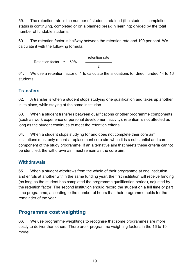59. The retention rate is the number of students retained (the student's completion status is continuing, completed or on a planned break in learning) divided by the total number of fundable students.

60. The retention factor is halfway between the retention rate and 100 per cent. We calculate it with the following formula.

> Retention factor =  $50\%$  + retention rate  $\mathfrak{D}$

61. We use a retention factor of 1 to calculate the allocations for direct funded 14 to 16 students.

#### <span id="page-18-0"></span>**Transfers**

62. A transfer is when a student stops studying one qualification and takes up another in its place, while staying at the same institution.

63. When a student transfers between qualifications or other programme components (such as work experience or personal development activity), retention is not affected as long as the student continues to meet the retention criteria.

64. When a student stops studying for and does not complete their core aim, institutions must only record a replacement core aim when it is a substantial and core component of the study programme. If an alternative aim that meets these criteria cannot be identified, the withdrawn aim must remain as the core aim.

#### <span id="page-18-1"></span>**Withdrawals**

65. When a student withdraws from the whole of their programme at one institution and enrols at another within the same funding year, the first institution will receive funding (as long as the student has completed the programme qualification period), adjusted by the retention factor. The second institution should record the student on a full time or part time programme, according to the number of hours that their programme holds for the remainder of the year.

## <span id="page-18-2"></span>**Programme cost weighting**

66. We use programme weightings to recognise that some programmes are more costly to deliver than others. There are 4 programme weighting factors in the 16 to 19 model.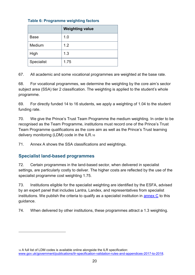<span id="page-19-0"></span>

|  |  | <b>Table 6: Programme weighting factors</b> |  |  |
|--|--|---------------------------------------------|--|--|
|--|--|---------------------------------------------|--|--|

|             | <b>Weighting value</b> |
|-------------|------------------------|
| <b>Base</b> | 1.0                    |
| Medium      | 1.2                    |
| High        | 1.3                    |
| Specialist  | 1.75                   |

67. All academic and some vocational programmes are weighted at the base rate.

68. For vocational programmes, we determine the weighting by the core aim's sector subject area (SSA) tier 2 classification. The weighting is applied to the student's whole programme.

69. For directly funded 14 to 16 students, we apply a weighting of 1.04 to the student funding rate.

70. We give the Prince's Trust Team Programme the medium weighting. In order to be recognised as the Team Programme, institutions must record one of the Prince's Trust Team Programme qualifications as the core aim as well as the Prince's Trust learning delivery monitoring (LDM) code in the ILR.<sup>16</sup>

71. Annex A shows the SSA classifications and weightings.

#### <span id="page-19-1"></span>**Specialist land-based programmes**

-

72. Certain programmes in the land-based sector, when delivered in specialist settings, are particularly costly to deliver. The higher costs are reflected by the use of the specialist programme cost weighting 1.75.

73. Institutions eligible for the specialist weighting are identified by the ESFA, advised by an expert panel that includes Lantra, Landex, and representatives from specialist institutions. We publish the criteria to qualify as a specialist institution in [annex C](#page-36-0) to this guidance.

74. When delivered by other institutions, these programmes attract a 1.3 weighting.

<sup>16</sup> A full list of LDM codes is available online alongside the ILR specification: [www.gov.uk/government/publications/ilr-specification-validation-rules-and-appendices-2017-to-2018.](https://www.gov.uk/government/publications/ilr-specification-validation-rules-and-appendices-2017-to-2018)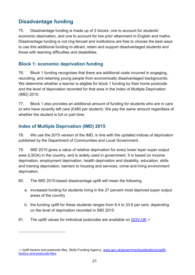## <span id="page-20-0"></span>**Disadvantage funding**

75. Disadvantage funding is made up of 2 blocks: one to account for students' economic deprivation, and one to account for low prior attainment in English and maths. Disadvantage funding is not ring fenced and institutions are free to choose the best ways to use this additional funding to attract, retain and support disadvantaged students and those with learning difficulties and disabilities.

#### <span id="page-20-1"></span>**Block 1: economic deprivation funding**

76. Block 1 funding recognises that there are additional costs incurred in engaging, recruiting, and retaining young people from economically disadvantaged backgrounds. We determine whether a learner is eligible for block 1 funding by their home postcode and the level of deprivation recorded for that area in the Index of Multiple Deprivation (IMD) 2015.

77. Block 1 also provides an additional amount of funding for students who are in care or who have recently left care (£480 per student). We pay the same amount regardless of whether the student is full or part time.

#### <span id="page-20-2"></span>**Index of Multiple Deprivation (IMD) 2015**

-

78. We use the 2015 version of the IMD, in line with the updated indices of deprivation published by the Department of Communities and Local Government.

79. IMD 2015 gives a value of relative deprivation for every lower layer super output area (LSOA) in the country, and is widely used in government. It is based on income deprivation, employment deprivation, health deprivation and disability, education, skills and training deprivation, barriers to housing and services, crime and living environment deprivation.

80. The IMD 2015-based disadvantage uplift will mean the following.

- a. increased funding for students living in the 27 percent most deprived super output areas of the country
- b. the funding uplift for these students ranges from 8.4 to 33.6 per cent, depending on the level of deprivation recorded in IMD 2015
- 81. The uplift values for individual postcodes are available on [GOV.UK.](https://www.gov.uk/government/publications/uplift-factors-and-postcode-files)17

<sup>17</sup> Uplift factors and postcode files, Skills Funding Agency, [www.gov.uk/government/publications/uplift](https://www.gov.uk/government/publications/uplift-factors-and-postcode-files)[factors-and-postcode-files.](https://www.gov.uk/government/publications/uplift-factors-and-postcode-files)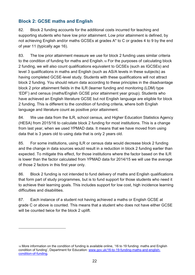#### <span id="page-21-0"></span>**Block 2: GCSE maths and English**

-

82. Block 2 funding accounts for the additional costs incurred for teaching and supporting students who have low prior attainment. Low prior attainment is defined, by not achieving English and/or maths GCSEs at grades A\* to C or grades 4 to 9 by the end of year 11 (typically age 16).

83. The low prior attainment measure we use for block 2 funding uses similar criteria to the condition of funding for maths and English.<sup>18</sup> For the purposes of calculating block 2 funding, we will also count qualifications equivalent to GCSEs (such as IGCSEs) and level 3 qualifications in maths and English (such as AS/A levels in these subjects) as having completed GCSE-level study. Students with these qualifications will not attract block 2 funding. You should return data according to these principles in the disadvantage block 2 prior attainment fields in the ILR (learner funding and monitoring (LDM) type 'EDF') and census (maths/English GCSE prior attainment year group). Students who have achieved an English literature GCSE but not English language are eligible for block 2 funding. This is different to the condition of funding criteria, where both English language and literature count as positive prior attainment.

84. We use data from the ILR, school census, and Higher Education Statistics Agency (HESA) from 2015/16 to calculate block 2 funding for most institutions. This is a change from last year, when we used YPMAD data. It means that we have moved from using data that is 3 years old to using data that is only 2 years old.

85. For some institutions, using ILR or census data would decrease block 2 funding and the change in data sources would result in a reduction in block 2 funding earlier than expected. To mitigate this effect, for those institutions where the factor based on the ILR is lower than the factor calculated from YPMAD data for 2014/15 we will use the average of those 2 factors in this first year only.

86. Block 2 funding is not intended to fund delivery of maths and English qualifications that form part of study programmes, but is to fund support for those students who need it to achieve their learning goals. This includes support for low cost, high incidence learning difficulties and disabilities.

87. Each instance of a student not having achieved a maths or English GCSE at grade C or above is counted. This means that a student who does not have either GCSE will be counted twice for the block 2 uplift.

<sup>18</sup> More information on the condition of funding is available online, '16 to 19 funding: maths and English condition of funding', Department for Education: [www.gov.uk/16-to-19-funding-maths-and-english](https://www.gov.uk/guidance/16-to-19-funding-maths-and-english-condition-of-funding)[condition-of-funding.](https://www.gov.uk/guidance/16-to-19-funding-maths-and-english-condition-of-funding)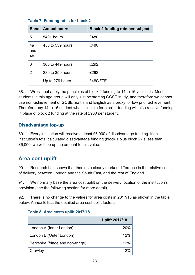| <b>Band</b>                 | <b>Annual hours</b> | <b>Block 2 funding rate per subject</b> |
|-----------------------------|---------------------|-----------------------------------------|
| 5                           | $540+$ hours        | £480                                    |
| 4a<br>and<br>4 <sub>b</sub> | 450 to 539 hours    | £480                                    |
| 3                           | 360 to 449 hours    | £292                                    |
| $\mathcal{P}$               | 280 to 359 hours    | £292                                    |
|                             | Up to 279 hours     | £480/FTE                                |

#### <span id="page-22-0"></span>**Table 7: Funding rates for block 2**

88. We cannot apply the principles of block 2 funding to 14 to 16 year-olds. Most students in this age group will only just be starting GCSE study, and therefore we cannot use non-achievement of GCSE maths and English as a proxy for low prior achievement. Therefore any 14 to 16 student who is eligible for block 1 funding will also receive funding in place of block 2 funding at the rate of £960 per student.

#### <span id="page-22-1"></span>**Disadvantage top-up**

89. Every institution will receive at least £6,000 of disadvantage funding. If an institution's total calculated disadvantage funding (block 1 plus block 2) is less than £6,000, we will top up the amount to this value.

## <span id="page-22-2"></span>**Area cost uplift**

90. Research has shown that there is a clearly marked difference in the relative costs of delivery between London and the South East, and the rest of England.

91. We normally base the area cost uplift on the delivery location of the institution's provision (see the following section for more detail).

92. There is no change to the values for area costs in 2017/18 as shown in the table below. Annex B lists the detailed area cost uplift factors.

#### <span id="page-22-3"></span>**Table 8: Area costs uplift 2017/18**

|                                   | <b>Uplift 2017/18</b> |
|-----------------------------------|-----------------------|
| London A (Inner London)           | 20%                   |
| London B (Outer London)           | 12%                   |
| Berkshire (fringe and non-fringe) | 12%                   |
| Crawley                           | 120%                  |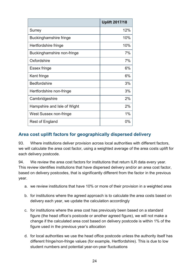|                             | <b>Uplift 2017/18</b> |
|-----------------------------|-----------------------|
| Surrey                      | 12%                   |
| Buckinghamshire fringe      | 10%                   |
| Hertfordshire fringe        | 10%                   |
| Buckinghamshire non-fringe  | 7%                    |
| Oxfordshire                 | 7%                    |
| Essex fringe                | 6%                    |
| Kent fringe                 | 6%                    |
| <b>Bedfordshire</b>         | 3%                    |
| Hertfordshire non-fringe    | 3%                    |
| Cambridgeshire              | 2%                    |
| Hampshire and Isle of Wight | 2%                    |
| West Sussex non-fringe      | 1%                    |
| Rest of England             | 0%                    |

#### <span id="page-23-0"></span>**Area cost uplift factors for geographically dispersed delivery**

93. Where institutions deliver provision across local authorities with different factors, we will calculate the area cost factor, using a weighted average of the area costs uplift for each delivery postcode.

94. We review the area cost factors for institutions that return ILR data every year. This review identifies institutions that have dispersed delivery and/or an area cost factor, based on delivery postcodes, that is significantly different from the factor in the previous year.

- a. we review institutions that have 10% or more of their provision in a weighted area
- b. for institutions where the agreed approach is to calculate the area costs based on delivery each year, we update the calculation accordingly
- c. for institutions where the area cost has previously been based on a standard figure (the head office's postcode or another agreed figure), we will not make a change if the calculated area cost based on delivery postcode is within 1% of the figure used in the previous year's allocation
- d. for local authorities we use the head office postcode unless the authority itself has different fringe/non-fringe values (for example, Hertfordshire). This is due to low student numbers and potential year-on-year fluctuations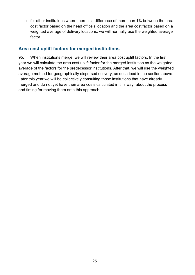e. for other institutions where there is a difference of more than 1% between the area cost factor based on the head office's location and the area cost factor based on a weighted average of delivery locations, we will normally use the weighted average factor

#### <span id="page-24-0"></span>**Area cost uplift factors for merged institutions**

95. When institutions merge, we will review their area cost uplift factors. In the first year we will calculate the area cost uplift factor for the merged institution as the weighted average of the factors for the predecessor institutions. After that, we will use the weighted average method for geographically dispersed delivery, as described in the section above. Later this year we will be collectively consulting those institutions that have already merged and do not yet have their area costs calculated in this way, about the process and timing for moving them onto this approach.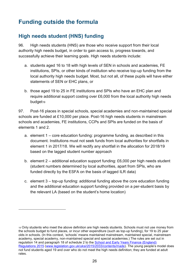# <span id="page-25-0"></span>**Funding outside the formula**

## <span id="page-25-1"></span>**High needs student (HNS) funding**

-

96. High needs students (HNS) are those who receive support from their local authority high needs budget, in order to gain access to, progress towards, and successfully achieve their learning goals. High needs students include:

- a. students aged 16 to 18 with high levels of SEN in schools and academies, FE institutions, SPIs, or other kinds of institution who receive top-up funding from the local authority high needs budget. Most, but not all, of these pupils will have either statements of SEN or EHC plans, or
- b. those aged 19 to 25 in FE institutions and SPIs who have an EHC plan and require additional support costing over £6,000 from the local authority high needs budget<sub>19</sub>

97. Post-16 places in special schools, special academies and non-maintained special schools are funded at £10,000 per place. Post-16 high needs students in mainstream schools and academies, FE institutions, CCPs and SPIs are funded on the basis of elements 1 and 2.

- a. element 1 core education funding: programme funding, as described in this document. Institutions must not seek funds from local authorities for shortfalls in element 1 in 2017/18. We will rectify any shortfall in the allocation for 2018/19 based on the lagged student number approach
- b. element 2 additional education support funding: £6,000 per high needs student (student numbers determined by local authorities, apart from SPIs, who are funded directly by the ESFA on the basis of lagged ILR data)
- c. element 3 top-up funding: additional funding above the core education funding and the additional education support funding provided on a per-student basis by the relevant LA (based on the student's home location)

<sup>19</sup> Only students who meet the above definition are high needs students. Schools must not use money from the schools budget to fund places, or incur other expenditure (such as top-up funding), for 19 to 25 year olds in schools. (In this context, 'schools' means maintained mainstream, maintained special, mainstream academy, special academy, non-maintained special and special academies.) The rules are set out in regulation 14 and paragraph 18 of schedule 2 to the [School and Early Years Finance \(England\)](http://www.legislation.gov.uk/uksi/2015/2033/contents/made)  [Regulations 2015](http://www.legislation.gov.uk/uksi/2015/2033/contents/made) [\(www.legislation.gov.uk/uksi/2015/2033/contents/made\)](http://www.legislation.gov.uk/uksi/2015/2033/contents/made). The young people's model does not fund students aged 19 and over who do not meet the high needs definition; they are funded at adult rates.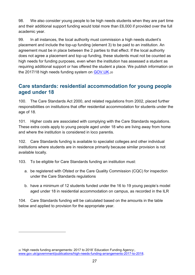98. We also consider young people to be high needs students when they are part time and their additional support funding would total more than £6,000 if provided over the full academic year.

99. In all instances, the local authority must commission a high needs student's placement and include the top-up funding (element 3) to be paid to an institution. An agreement must be in place between the 2 parties to that effect. If the local authority does not agree a placement and top-up funding, these students must not be counted as high needs for funding purposes, even when the institution has assessed a student as requiring additional support or has offered the student a place. We publish information on the 2017/18 high needs funding system on [GOV.UK.](https://www.gov.uk/government/publications/high-needs-funding-arrangements-2017-to-2018)<sup>20</sup>

#### <span id="page-26-0"></span>**Care standards: residential accommodation for young people aged under 18**

100. The Care Standards Act 2000, and related regulations from 2002, placed further responsibilities on institutions that offer residential accommodation for students under the age of 18.

101. Higher costs are associated with complying with the Care Standards regulations. These extra costs apply to young people aged under 18 who are living away from home and where the institution is considered in loco parentis.

102. Care Standards funding is available to specialist colleges and other individual institutions where students are in residence primarily because similar provision is not available locally.

103. To be eligible for Care Standards funding an institution must:

- a. be registered with Ofsted or the Care Quality Commission (CQC) for inspection under the Care Standards regulations
- b. have a minimum of 12 students funded under the 16 to 19 young people's model aged under 18 in residential accommodation on campus, as recorded in the ILR

104. Care Standards funding will be calculated based on the amounts in the table below and applied to provision for the appropriate year.

<sup>20</sup> 'High needs funding arrangements: 2017 to 2018' Education Funding Agency:, [www.gov.uk/government/publications/high-needs-funding-arrangements-2017-to-2018.](https://www.gov.uk/government/publications/high-needs-funding-arrangements-2017-to-2018)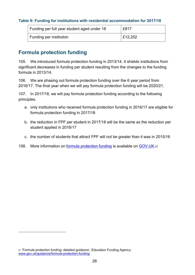#### <span id="page-27-0"></span>**Table 9: Funding for institutions with residential accommodation for 2017/18**

| Funding per full year student aged under 18 | £817    |
|---------------------------------------------|---------|
| Funding per institution                     | E12,252 |

#### <span id="page-27-1"></span>**Formula protection funding**

105. We introduced formula protection funding in 2013/14. It shields institutions from significant decreases in funding per student resulting from the changes to the funding formula in 2013/14.

106. We are phasing out formula protection funding over the 6 year period from 2016/17. The final year when we will pay formula protection funding will be 2020/21.

107. In 2017/18, we will pay formula protection funding according to the following principles.

- a. only institutions who received formula protection funding in 2016/17 are eligible for formula protection funding in 2017/18
- b. the reduction in FPF per student in 2017/18 will be the same as the reduction per student applied in 2016/17
- c. the number of students that attract FPF will not be greater than it was in 2015/16
- 108. More information on [formula protection funding](https://www.gov.uk/guidance/formula-protection-funding) is available on [GOV.UK.](https://www.gov.uk/guidance/formula-protection-funding)<sup>21</sup>

<sup>21</sup> 'Formula protection funding: detailed guidance', Education Funding Agency: [www.gov.uk/guidance/formula-protection-funding.](https://www.gov.uk/guidance/formula-protection-funding)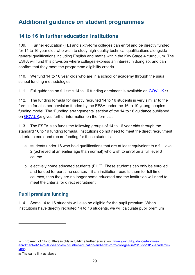# <span id="page-28-0"></span>**Additional guidance on student programmes**

## <span id="page-28-1"></span>**14 to 16 in further education institutions**

109. Further education (FE) and sixth-form colleges can enrol and be directly funded for 14 to 16 year olds who wish to study high-quality technical qualifications alongside general qualifications including English and maths within the Key Stage 4 curriculum. The ESFA will fund this provision where colleges express an interest in doing so, and can confirm that they meet the programme eligibility criteria.

110. We fund 14 to 16 year olds who are in a school or academy through the usual school funding methodologies.

111. Full guidance on full time 14 to 16 funding enrolment is available on [GOV.UK.](https://www.gov.uk/guidance/full-time-enrolment-of-14-to-16-year-olds-in-further-education-and-sixth-form-colleges-in-2016-to-2017-academic-year)<sup>22</sup>

112. The funding formula for directly recruited 14 to 16 students is very similar to the formula for all other provision funded by the EFSA under the 16 to 19 young peoples funding model. The 'Funding arrangements' section of the 14 to 16 guidance published on [GOV.UK](https://www.gov.uk/guidance/full-time-enrolment-of-14-to-16-year-olds-in-further-education-and-sixth-form-colleges-in-2016-to-2017-academic-year#funding-arrangements)<sup>23</sup> gives further information on the formula.

113. The ESFA also funds the following groups of 14 to 16 year olds through the standard 16 to 19 funding formula. Institutions do not need to meet the direct recruitment criteria to enrol and record funding for these students.

- a. students under 16 who hold qualifications that are at least equivalent to a full level 2 (achieved at an earlier age than normal) who wish to enrol on a full level 3 course
- b. electively home educated students (EHE). These students can only be enrolled and funded for part time courses – if an institution recruits them for full time courses, then they are no longer home educated and the institution will need to meet the criteria for direct recruitment

#### <span id="page-28-2"></span>**Pupil premium funding**

114. Some 14 to 16 students will also be eligible for the pupil premium. When institutions have directly recruited 14 to 16 students, we will calculate pupil premium

<sup>22</sup> 'Enrolment of 14- to 16-year-olds in full-time further education': [www.gov.uk/guidance/full-time](https://www.gov.uk/guidance/full-time-enrolment-of-14-to-16-year-olds-in-further-education-and-sixth-form-colleges-in-2016-to-2017-academic-year)[enrolment-of-14-to-16-year-olds-in-further-education-and-sixth-form-colleges-in-2016-to-2017-academic](https://www.gov.uk/guidance/full-time-enrolment-of-14-to-16-year-olds-in-further-education-and-sixth-form-colleges-in-2016-to-2017-academic-year)[year.](https://www.gov.uk/guidance/full-time-enrolment-of-14-to-16-year-olds-in-further-education-and-sixth-form-colleges-in-2016-to-2017-academic-year)

<sup>23</sup> The same link as above.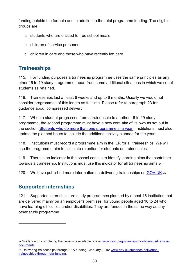funding outside the formula and in addition to the total programme funding. The eligible groups are:

- a. students who are entitled to free school meals
- b. children of service personnel
- c. children in care and those who have recently left care

## <span id="page-29-0"></span>**Traineeships**

115. For funding purposes a traineeship programme uses the same principles as any other 16 to 19 study programme, apart from some additional situations in which we count students as retained.

116. Traineeships last at least 6 weeks and up to 6 months. Usually we would not consider programmes of this length as full time. Please refer to paragraph 23 for guidance about compressed delivery.

117. When a student progresses from a traineeship to another 16 to 19 study programme, the second programme must have a new core aim of its own as set out in the section ['Students who do more than one programme in a year'](#page-12-1). Institutions must also update the planned hours to include the additional activity planned for the year.

118. Institutions must record a programme aim in the ILR for all traineeships. We will use the programme aim to calculate retention for students on traineeships.

119. There is an indicator in the school census to identify learning aims that contribute towards a traineeship. Institutions must use this indicator for all traineeship aims.<sup>24</sup>

120. We have published more information on delivering traineeships on [GOV.UK.](https://www.gov.uk/guidance/delivering-traineeships-through-efa-funding)25

## <span id="page-29-1"></span>**Supported internships**

-

121. Supported internships are study programmes planned by a post-16 institution that are delivered mainly on an employer's premises, for young people aged 16 to 24 who have learning difficulties and/or disabilities. They are funded in the same way as any other study programme.

<sup>24</sup> Guidance on completing the census is available online: [www.gov.uk/guidance/school-census#census](https://www.gov.uk/guidance/school-census%23census-documents)[documents.](https://www.gov.uk/guidance/school-census%23census-documents)

<sup>25</sup> 'Delivering traineeships through EFA funding', January 2016: [www.gov.uk/guidance/delivering](https://www.gov.uk/guidance/delivering-traineeships-through-efa-funding)[traineeships-through-efa-funding.](https://www.gov.uk/guidance/delivering-traineeships-through-efa-funding)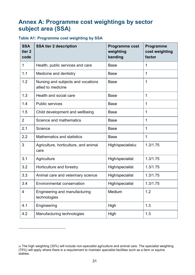# <span id="page-30-0"></span>**Annex A: Programme cost weightings by sector subject area (SSA)**

#### <span id="page-30-1"></span>**Table A1: Programme cost weighting by SSA**

| <b>SSA</b><br>tier <sub>2</sub><br>code | <b>SSA tier 2 description</b>                            | <b>Programme cost</b><br>weighting<br>banding | Programme<br>cost weighting<br>factor |
|-----------------------------------------|----------------------------------------------------------|-----------------------------------------------|---------------------------------------|
| 1                                       | Health, public services and care                         | <b>Base</b>                                   | 1                                     |
| 1.1                                     | Medicine and dentistry                                   | <b>Base</b>                                   | $\mathbf 1$                           |
| 1.2                                     | Nursing and subjects and vocations<br>allied to medicine | <b>Base</b>                                   | $\mathbf 1$                           |
| 1.3                                     | Health and social care                                   | <b>Base</b>                                   | 1                                     |
| 1.4                                     | <b>Public services</b>                                   | <b>Base</b>                                   | 1                                     |
| 1.5                                     | Child development and wellbeing                          | <b>Base</b>                                   | 1                                     |
| $\overline{2}$                          | Science and mathematics                                  | <b>Base</b>                                   | $\mathbf 1$                           |
| 2.1                                     | Science                                                  | <b>Base</b>                                   | $\mathbf 1$                           |
| 2.2                                     | <b>Mathematics and statistics</b>                        | <b>Base</b>                                   | 1                                     |
| 3                                       | Agriculture, horticulture, and animal<br>care            | High/specialist <sub>26</sub>                 | 1.3/1.75                              |
| 3.1                                     | Agriculture                                              | High/specialist                               | 1.3/1.75                              |
| 3.2                                     | Horticulture and forestry                                | High/specialist                               | 1.3/1.75                              |
| 3.3                                     | Animal care and veterinary science                       | High/specialist                               | 1.3/1.75                              |
| 3.4                                     | <b>Environmental conservation</b>                        | High/specialist                               | 1.3/1.75                              |
| $\overline{\mathcal{A}}$                | Engineering and manufacturing<br>technologies            | Medium                                        | 1.2                                   |
| 4.1                                     | Engineering                                              | High                                          | 1.3                                   |
| 4.2                                     | Manufacturing technologies                               | High                                          | 1.3                                   |

<sup>26</sup> The high weighting (30%) will include non-specialist agriculture and animal care. The specialist weighting (75%) will apply where there is a requirement to maintain specialist facilities such as a farm or equine stables.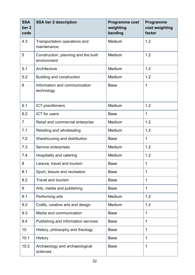| <b>SSA</b><br>tier <sub>2</sub><br>code | <b>SSA tier 2 description</b>                       | <b>Programme cost</b><br>weighting<br>banding | Programme<br>cost weighting<br>factor |
|-----------------------------------------|-----------------------------------------------------|-----------------------------------------------|---------------------------------------|
| 4.3                                     | Transportation operations and<br>maintenance        | Medium                                        | 1.2                                   |
| 5                                       | Construction, planning and the built<br>environment | Medium                                        | 1.2                                   |
| 5.1                                     | Architecture                                        | Medium                                        | 1.2                                   |
| 5.2                                     | <b>Building and construction</b>                    | Medium                                        | 1.2                                   |
| 6                                       | Information and communication<br>technology         | <b>Base</b>                                   | $\overline{1}$                        |
| 6.1                                     | ICT practitioners                                   | Medium                                        | 1.2                                   |
| 6.2                                     | ICT for users                                       | <b>Base</b>                                   | $\mathbf 1$                           |
| $\overline{7}$                          | Retail and commercial enterprise                    | Medium                                        | 1.2                                   |
| 7.1                                     | Retailing and wholesaling                           | Medium                                        | 1.2                                   |
| 7.2                                     | Warehousing and distribution                        | <b>Base</b>                                   | $\mathbf 1$                           |
| 7.3                                     | Service enterprises                                 | Medium                                        | 1.2                                   |
| 7.4                                     | Hospitality and catering                            | Medium                                        | 1.2                                   |
| 8                                       | Leisure, travel and tourism                         | <b>Base</b>                                   | $\mathbf 1$                           |
| 8.1                                     | Sport, leisure and recreation                       | <b>Base</b>                                   | $\mathbf 1$                           |
| 8.2                                     | <b>Travel and tourism</b>                           | <b>Base</b>                                   | $\mathbf 1$                           |
| 9                                       | Arts, media and publishing                          | <b>Base</b>                                   | $\mathbf 1$                           |
| 9.1                                     | Performing arts                                     | Medium                                        | 1.2                                   |
| 9.2                                     | Crafts, creative arts and design                    | Medium                                        | 1.2                                   |
| 9.3                                     | Media and communication                             | <b>Base</b>                                   | $\mathbf 1$                           |
| 9.4                                     | Publishing and information services                 | <b>Base</b>                                   | 1                                     |
| 10                                      | History, philosophy and theology                    | <b>Base</b>                                   | 1                                     |
| 10.1                                    | History                                             | <b>Base</b>                                   | $\mathbf 1$                           |
| 10.2                                    | Archaeology and archaeological<br>sciences          | <b>Base</b>                                   | $\mathbf 1$                           |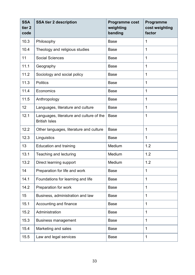| <b>SSA</b><br>tier <sub>2</sub><br>code | <b>SSA tier 2 description</b>                                    | Programme cost<br>weighting<br>banding | Programme<br>cost weighting<br>factor |
|-----------------------------------------|------------------------------------------------------------------|----------------------------------------|---------------------------------------|
| 10.3                                    | Philosophy                                                       | <b>Base</b>                            | 1                                     |
| 10.4                                    | Theology and religious studies                                   | <b>Base</b>                            | $\mathbf 1$                           |
| 11                                      | <b>Social Sciences</b>                                           | <b>Base</b>                            | 1                                     |
| 11.1                                    | Geography                                                        | <b>Base</b>                            | 1                                     |
| 11.2                                    | Sociology and social policy                                      | <b>Base</b>                            | 1                                     |
| 11.3                                    | <b>Politics</b>                                                  | <b>Base</b>                            | 1                                     |
| 11.4                                    | Economics                                                        | <b>Base</b>                            | $\mathbf 1$                           |
| 11.5                                    | Anthropology                                                     | <b>Base</b>                            | 1                                     |
| 12                                      | Languages, literature and culture                                | <b>Base</b>                            | $\mathbf 1$                           |
| 12.1                                    | Languages, literature and culture of the<br><b>British Isles</b> | <b>Base</b>                            | $\mathbf 1$                           |
| 12.2                                    | Other languages, literature and culture                          | <b>Base</b>                            | 1                                     |
| 12.3                                    | Linguistics                                                      | <b>Base</b>                            | $\mathbf 1$                           |
| 13                                      | <b>Education and training</b>                                    | Medium                                 | 1.2                                   |
| 13.1                                    | Teaching and lecturing                                           | Medium                                 | 1.2                                   |
| 13.2                                    | Direct learning support                                          | Medium                                 | 1.2                                   |
| 14                                      | Preparation for life and work                                    | <b>Base</b>                            | $\mathbf 1$                           |
| 14.1                                    | Foundations for learning and life                                | <b>Base</b>                            | $\mathbf 1$                           |
| 14.2                                    | Preparation for work                                             | <b>Base</b>                            | 1                                     |
| 15                                      | Business, administration and law                                 | <b>Base</b>                            | 1                                     |
| 15.1                                    | Accounting and finance                                           | <b>Base</b>                            | 1                                     |
| 15.2                                    | Administration                                                   | <b>Base</b>                            | $\mathbf 1$                           |
| 15.3                                    | <b>Business management</b>                                       | <b>Base</b>                            | $\mathbf 1$                           |
| 15.4                                    | Marketing and sales                                              | <b>Base</b>                            | $\mathbf 1$                           |
| 15.5                                    | Law and legal services                                           | <b>Base</b>                            | 1                                     |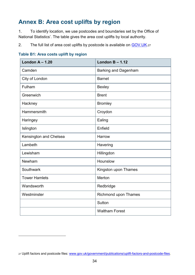# <span id="page-33-0"></span>**Annex B: Area cost uplifts by region**

1. To identify location, we use postcodes and boundaries set by the Office of National Statistics'. The table gives the area cost uplifts by local authority.

2. The full list of area cost uplifts by postcode is available on [GOV.UK.](https://www.gov.uk/government/publications/uplift-factors-and-postcode-files)27

#### <span id="page-33-1"></span>**Table B1: Area costs uplift by region**

| London $A - 1.20$      | London $B - 1.12$           |
|------------------------|-----------------------------|
| Camden                 | <b>Barking and Dagenham</b> |
| City of London         | <b>Barnet</b>               |
| Fulham                 | <b>Bexley</b>               |
| Greenwich              | <b>Brent</b>                |
| Hackney                | <b>Bromley</b>              |
| Hammersmith            | Croydon                     |
| Haringey               | Ealing                      |
| Islington              | Enfield                     |
| Kensington and Chelsea | Harrow                      |
| Lambeth                | Havering                    |
| Lewisham               | Hillingdon                  |
| Newham                 | Hounslow                    |
| Southwark              | Kingston upon Thames        |
| <b>Tower Hamlets</b>   | Merton                      |
| Wandsworth             | Redbridge                   |
| Westminster            | <b>Richmond upon Thames</b> |
|                        | Sutton                      |
|                        | <b>Waltham Forest</b>       |

<sup>27</sup> Uplift factors and postcode files: [www.gov.uk/government/publications/uplift-factors-and-postcode-files.](https://www.gov.uk/government/publications/uplift-factors-and-postcode-files)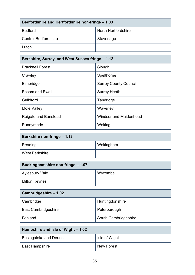| Bedfordshire and Hertfordshire non-fringe - 1.03 |                     |  |
|--------------------------------------------------|---------------------|--|
| <b>Bedford</b>                                   | North Hertfordshire |  |
| <b>Central Bedfordshire</b>                      | Stevenage           |  |
| Luton                                            |                     |  |

| Berkshire, Surrey, and West Sussex fringe - 1.12 |                               |  |
|--------------------------------------------------|-------------------------------|--|
| <b>Bracknell Forest</b>                          | Slough                        |  |
| Crawley                                          | Spelthorne                    |  |
| Elmbridge                                        | <b>Surrey County Council</b>  |  |
| Epsom and Ewell                                  | <b>Surrey Heath</b>           |  |
| Guildford                                        | Tandridge                     |  |
| Mole Valley                                      | Waverley                      |  |
| Reigate and Banstead                             | <b>Windsor and Maidenhead</b> |  |
| Runnymede                                        | Woking                        |  |

| Berkshire non-fringe - 1.12 |           |  |
|-----------------------------|-----------|--|
| Reading                     | Wokingham |  |
| <b>West Berkshire</b>       |           |  |

| Buckinghamshire non-fringe - 1.07 |         |  |
|-----------------------------------|---------|--|
| Aylesbury Vale                    | Wycombe |  |
| <b>Milton Keynes</b>              |         |  |

| Cambridgeshire - 1.02      |                      |
|----------------------------|----------------------|
| Cambridge                  | Huntingdonshire      |
| <b>East Cambridgeshire</b> | Peterborough         |
| Fenland                    | South Cambridgeshire |

| Hampshire and Isle of Wight - 1.02 |                   |
|------------------------------------|-------------------|
| <b>Basingstoke and Deane</b>       | Isle of Wight     |
| East Hampshire                     | <b>New Forest</b> |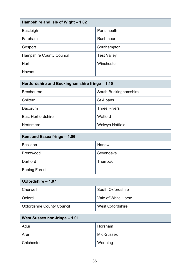| Hampshire and Isle of Wight - 1.02 |                    |
|------------------------------------|--------------------|
| Eastleigh                          | Portsmouth         |
| Fareham                            | Rushmoor           |
| Gosport                            | Southampton        |
| <b>Hampshire County Council</b>    | <b>Test Valley</b> |
| Hart                               | Winchester         |
| Havant                             |                    |

| Hertfordshire and Buckinghamshire fringe - 1.10 |                       |  |
|-------------------------------------------------|-----------------------|--|
| <b>Broxbourne</b>                               | South Buckinghamshire |  |
| Chiltern                                        | <b>St Albans</b>      |  |
| Dacorum                                         | <b>Three Rivers</b>   |  |
| <b>East Hertfordshire</b>                       | Watford               |  |
| <b>Hertsmere</b>                                | Welwyn Hatfield       |  |

| Kent and Essex fringe - 1.06 |                 |
|------------------------------|-----------------|
| <b>Basildon</b>              | <b>Harlow</b>   |
| <b>Brentwood</b>             | Sevenoaks       |
| Dartford                     | <b>Thurrock</b> |
| <b>Epping Forest</b>         |                 |

| Oxfordshire - 1.07                |                          |
|-----------------------------------|--------------------------|
| Cherwell                          | <b>South Oxfordshire</b> |
| Oxford                            | Vale of White Horse      |
| <b>Oxfordshire County Council</b> | <b>West Oxfordshire</b>  |

| <b>West Sussex non-fringe – 1.01</b> |            |
|--------------------------------------|------------|
| Adur                                 | Horsham    |
| Arun                                 | Mid-Sussex |
| Chichester                           | Worthing   |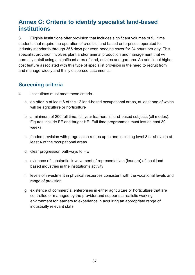# <span id="page-36-0"></span>**Annex C: Criteria to identify specialist land-based institutions**

3. Eligible institutions offer provision that includes significant volumes of full time students that require the operation of credible land based enterprises, operated to industry standards through 365 days per year, needing cover for 24 hours per day. This specialist provision involves plant and/or animal production and management that will normally entail using a significant area of land, estates and gardens. An additional higher cost feature associated with this type of specialist provision is the need to recruit from and manage widely and thinly dispersed catchments.

## <span id="page-36-1"></span>**Screening criteria**

- 4. Institutions must meet these criteria.
	- a. an offer in at least 6 of the 12 land-based occupational areas, at least one of which will be agriculture or horticulture
	- b. a minimum of 200 full time, full year learners in land-based subjects (all modes). Figures include FE and taught HE. Full time programmes must last at least 30 weeks
	- c. funded provision with progression routes up to and including level 3 or above in at least 4 of the occupational areas
	- d. clear progression pathways to HE
	- e. evidence of substantial involvement of representatives (leaders) of local land based industries in the institution's activity
	- f. levels of investment in physical resources consistent with the vocational levels and range of provision
	- g. existence of commercial enterprises in either agriculture or horticulture that are controlled or managed by the provider and supports a realistic working environment for learners to experience in acquiring an appropriate range of industrially relevant skills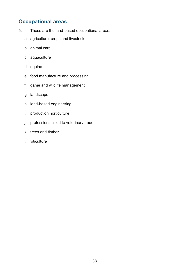## <span id="page-37-0"></span>**Occupational areas**

- 5. These are the land-based occupational areas:
	- a. agriculture, crops and livestock
	- b. animal care
	- c. aquaculture
	- d. equine
	- e. food manufacture and processing
	- f. game and wildlife management
	- g. landscape
	- h. land-based engineering
	- i. production horticulture
	- j. professions allied to veterinary trade
	- k. trees and timber
	- l. viticulture